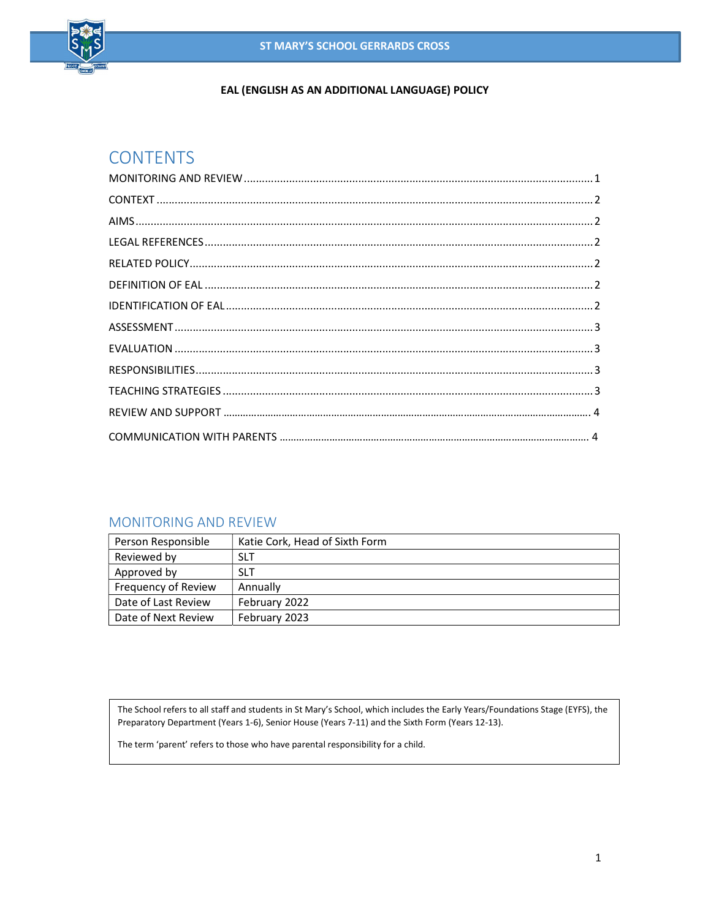

### EAL (ENGLISH AS AN ADDITIONAL LANGUAGE) POLICY

# **CONTENTS**

### MONITORING AND REVIEW

| Person Responsible  | Katie Cork, Head of Sixth Form |
|---------------------|--------------------------------|
| Reviewed by         | <b>SLT</b>                     |
| Approved by         | <b>SLT</b>                     |
| Frequency of Review | Annually                       |
| Date of Last Review | February 2022                  |
| Date of Next Review | February 2023                  |

The School refers to all staff and students in St Mary's School, which includes the Early Years/Foundations Stage (EYFS), the Preparatory Department (Years 1-6), Senior House (Years 7-11) and the Sixth Form (Years 12-13).

The term 'parent' refers to those who have parental responsibility for a child.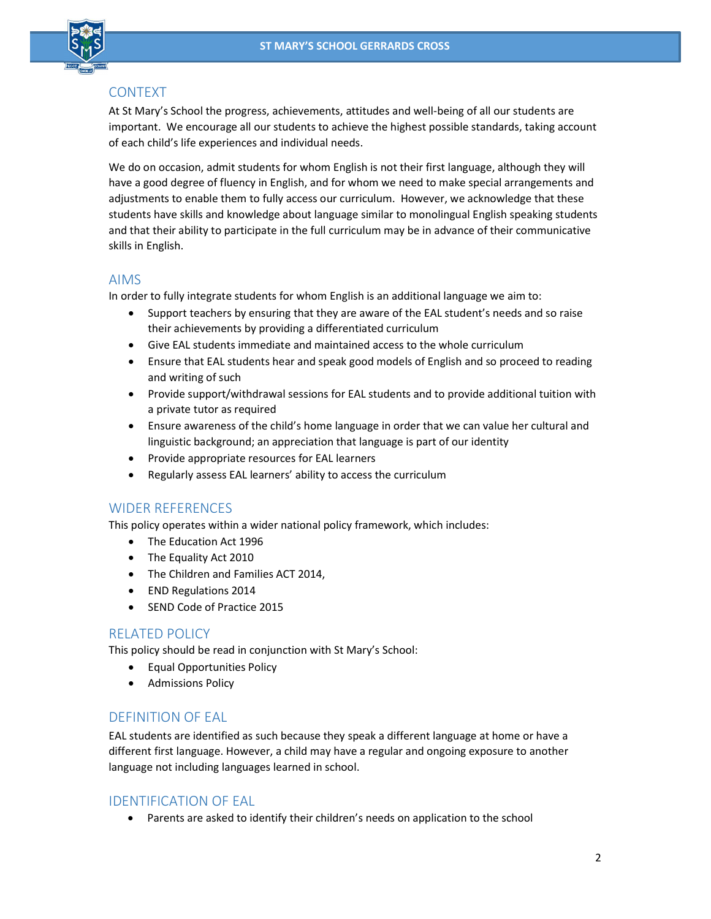

## CONTEXT

At St Mary's School the progress, achievements, attitudes and well-being of all our students are important. We encourage all our students to achieve the highest possible standards, taking account of each child's life experiences and individual needs.

We do on occasion, admit students for whom English is not their first language, although they will have a good degree of fluency in English, and for whom we need to make special arrangements and adjustments to enable them to fully access our curriculum. However, we acknowledge that these students have skills and knowledge about language similar to monolingual English speaking students and that their ability to participate in the full curriculum may be in advance of their communicative skills in English.

## AIMS

In order to fully integrate students for whom English is an additional language we aim to:

- Support teachers by ensuring that they are aware of the EAL student's needs and so raise their achievements by providing a differentiated curriculum
- Give EAL students immediate and maintained access to the whole curriculum
- Ensure that EAL students hear and speak good models of English and so proceed to reading and writing of such
- Provide support/withdrawal sessions for EAL students and to provide additional tuition with a private tutor as required
- Ensure awareness of the child's home language in order that we can value her cultural and linguistic background; an appreciation that language is part of our identity
- Provide appropriate resources for EAL learners
- Regularly assess EAL learners' ability to access the curriculum

### WIDER REFERENCES

This policy operates within a wider national policy framework, which includes:

- The Education Act 1996
- The Equality Act 2010
- The Children and Families ACT 2014,
- END Regulations 2014
- SEND Code of Practice 2015

### RELATED POLICY

This policy should be read in conjunction with St Mary's School:

- Equal Opportunities Policy
- **•** Admissions Policy

## DEFINITION OF EAL

EAL students are identified as such because they speak a different language at home or have a different first language. However, a child may have a regular and ongoing exposure to another language not including languages learned in school.

### IDENTIFICATION OF EAL

Parents are asked to identify their children's needs on application to the school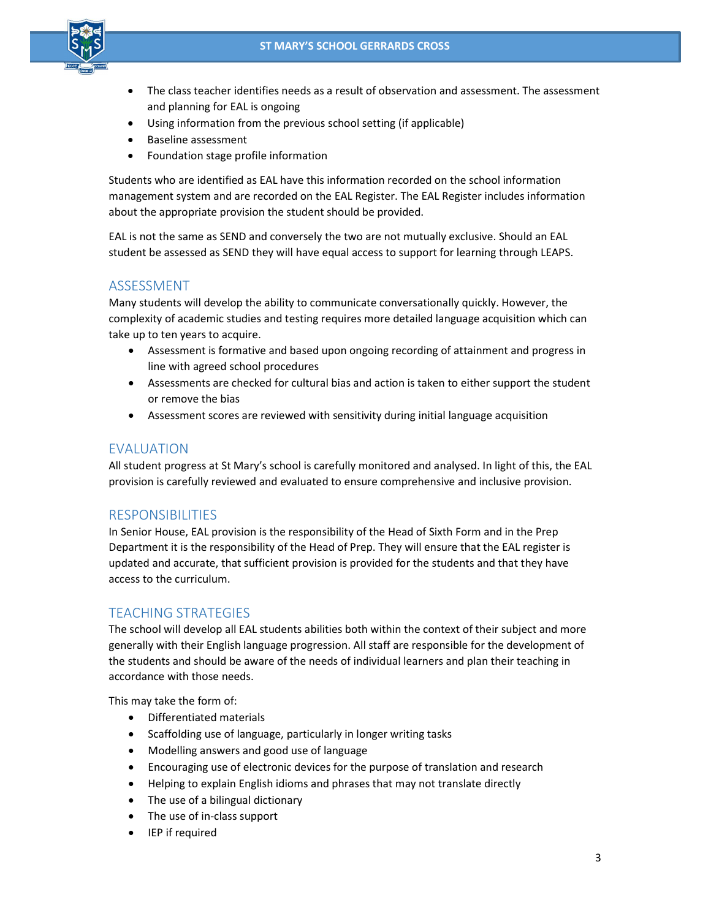

- The class teacher identifies needs as a result of observation and assessment. The assessment and planning for EAL is ongoing
- Using information from the previous school setting (if applicable)
- Baseline assessment
- Foundation stage profile information

Students who are identified as EAL have this information recorded on the school information management system and are recorded on the EAL Register. The EAL Register includes information about the appropriate provision the student should be provided.

EAL is not the same as SEND and conversely the two are not mutually exclusive. Should an EAL student be assessed as SEND they will have equal access to support for learning through LEAPS.

#### ASSESSMENT

Many students will develop the ability to communicate conversationally quickly. However, the complexity of academic studies and testing requires more detailed language acquisition which can take up to ten years to acquire.

- Assessment is formative and based upon ongoing recording of attainment and progress in line with agreed school procedures
- Assessments are checked for cultural bias and action is taken to either support the student or remove the bias
- Assessment scores are reviewed with sensitivity during initial language acquisition

#### EVALUATION

All student progress at St Mary's school is carefully monitored and analysed. In light of this, the EAL provision is carefully reviewed and evaluated to ensure comprehensive and inclusive provision.

#### RESPONSIBILITIES

In Senior House, EAL provision is the responsibility of the Head of Sixth Form and in the Prep Department it is the responsibility of the Head of Prep. They will ensure that the EAL register is updated and accurate, that sufficient provision is provided for the students and that they have access to the curriculum.

#### TEACHING STRATEGIES

The school will develop all EAL students abilities both within the context of their subject and more generally with their English language progression. All staff are responsible for the development of the students and should be aware of the needs of individual learners and plan their teaching in accordance with those needs.

This may take the form of:

- Differentiated materials
- Scaffolding use of language, particularly in longer writing tasks
- Modelling answers and good use of language
- Encouraging use of electronic devices for the purpose of translation and research
- Helping to explain English idioms and phrases that may not translate directly
- The use of a bilingual dictionary
- The use of in-class support
- IEP if required